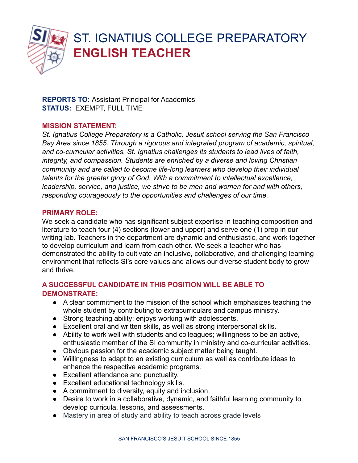

# ST. IGNATIUS COLLEGE PREPARATORY **ENGLISH TEACHER**

**REPORTS TO:** Assistant Principal for Academics **STATUS:** EXEMPT, FULL TIME

#### **MISSION STATEMENT:**

*St. Ignatius College Preparatory is a Catholic, Jesuit school serving the San Francisco Bay Area since 1855. Through a rigorous and integrated program of academic, spiritual, and co-curricular activities, St. Ignatius challenges its students to lead lives of faith, integrity, and compassion. Students are enriched by a diverse and loving Christian community and are called to become life-long learners who develop their individual talents for the greater glory of God. With a commitment to intellectual excellence, leadership, service, and justice, we strive to be men and women for and with others, responding courageously to the opportunities and challenges of our time.*

# **PRIMARY ROLE:**

We seek a candidate who has significant subject expertise in teaching composition and literature to teach four (4) sections (lower and upper) and serve one (1) prep in our writing lab. Teachers in the department are dynamic and enthusiastic, and work together to develop curriculum and learn from each other. We seek a teacher who has demonstrated the ability to cultivate an inclusive, collaborative, and challenging learning environment that reflects SI's core values and allows our diverse student body to grow and thrive.

# **A SUCCESSFUL CANDIDATE IN THIS POSITION WILL BE ABLE TO DEMONSTRATE:**

- A clear commitment to the mission of the school which emphasizes teaching the whole student by contributing to extracurriculars and campus ministry.
- Strong teaching ability; enjoys working with adolescents.
- Excellent oral and written skills, as well as strong interpersonal skills.
- Ability to work well with students and colleagues; willingness to be an active, enthusiastic member of the SI community in ministry and co-curricular activities.
- Obvious passion for the academic subject matter being taught.
- Willingness to adapt to an existing curriculum as well as contribute ideas to enhance the respective academic programs.
- Excellent attendance and punctuality.
- Excellent educational technology skills.
- A commitment to diversity, equity and inclusion.
- Desire to work in a collaborative, dynamic, and faithful learning community to develop curricula, lessons, and assessments.
- Mastery in area of study and ability to teach across grade levels